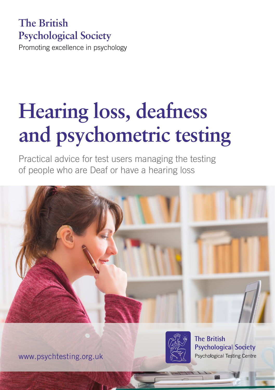# **The British Psychological Society**

Promoting excellence in psychology

# **Hearing loss, deafness and psychometric testing**

Practical advice for test users managing the testing of people who are Deaf or have a hearing loss





**The British Psychological Society Psychological Testing Centre** 

www.psychtesting.org.uk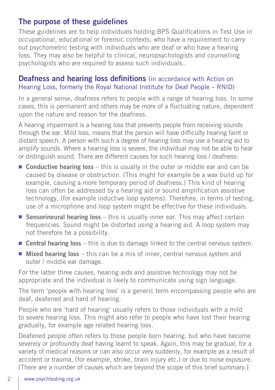## The purpose of these guidelines

These guidelines are to help individuals holding BPS Qualifications in Test Use in occupational, educational or forensic contexts, who have a requirement to carry out psychometric testing with individuals who are deaf or who have a hearing loss. They may also be helpful to clinical, neuropsychologists and counselling psychologists who are required to assess such individuals..

#### **Deafness and hearing loss definitions** (in accordance with Action on Hearing Loss, formerly the Royal National Institute for Deaf People – RNID)

In a general sense, deafness refers to people with a range of hearing loss. In some cases, this is permanent and others may be more of a fluctuating nature, dependent upon the nature and reason for the deafness.

A hearing impairment is a hearing loss that prevents people from receiving sounds through the ear. Mild loss, means that the person will have difficulty hearing faint or distant speech. A person with such a degree of hearing loss may use a hearing aid to amplify sounds. Where a hearing loss is severe, the individual may not be able to hear or distinguish sound. There are different causes for such hearing loss / deafness:

- **Conductive hearing loss** this is usually in the outer or middle ear and can be caused by disease or obstruction. (This might for example be a wax build up for example, causing a more temporary period of deafness.) This kind of hearing loss can often be addressed by a hearing aid or sound amplification assistive technology, (for example inductive loop systems). Therefore, in terms of testing, use of a microphone and loop system might be effective for these individuals.
- Sensorineural hearing loss this is usually inner ear. This may affect certain frequencies. Sound might be distorted using a hearing aid. A loop system may not therefore be a possibility.
- Central hearing loss this is due to damage linked to the central nervous system.
- Mixed hearing loss this can be a mix of inner, central nervous system and outer / middle ear damage.

For the latter three causes, hearing aids and assistive technology may not be appropriate and the individual is likely to communicate using sign language.

The term 'people with hearing loss' is a generic term encompassing people who are deaf, deafened and hard of hearing.

People who are 'hard of hearing' usually refers to those individuals with a mild to severe hearing loss. This might also refer to people who have lost their hearing gradually, for example age related hearing loss.

Deafened people often refers to those people born hearing, but who have become severely or profoundly deaf having learnt to speak. Again, this may be gradual, for a variety of medical reasons or can also occur very suddenly, for example as a result of accident or trauma, (for example, stroke, brain injury etc.) or due to noise exposure. [There are a number of causes which are beyond the scope of this brief summary.]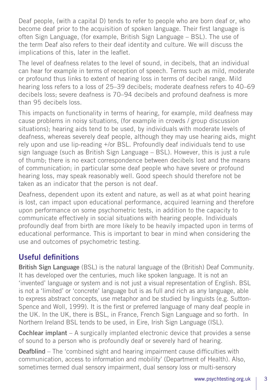Deaf people, (with a capital D) tends to refer to people who are born deaf or, who become deaf prior to the acquisition of spoken language. Their first language is often Sign Language, (for example, British Sign Language – BSL). The use of the term Deaf also refers to their deaf identity and culture. We will discuss the implications of this, later in the leaflet.

The level of deafness relates to the level of sound, in decibels, that an individual can hear for example in terms of reception of speech. Terms such as mild, moderate or profound thus links to extent of hearing loss in terms of decibel range. Mild hearing loss refers to a loss of 25–39 decibels; moderate deafness refers to 40–69 decibels loss; severe deafness is 70–94 decibels and profound deafness is more than 95 decibels loss.

This impacts on functionality in terms of hearing, for example, mild deafness may cause problems in noisy situations, (for example in crowds / group discussion situations); hearing aids tend to be used, by individuals with moderate levels of deafness, whereas severely deaf people, although they may use hearing aids, might rely upon and use lip-reading +/or BSL. Profoundly deaf individuals tend to use sign language (such as British Sign Language – BSL). However, this is just a rule of thumb; there is no exact correspondence between decibels lost and the means of communication; in particular some deaf people who have severe or profound hearing loss, may speak reasonably well. Good speech should therefore not be taken as an indicator that the person is not deaf.

Deafness, dependent upon its extent and nature, as well as at what point hearing is lost, can impact upon educational performance, acquired learning and therefore upon performance on some psychometric tests, in addition to the capacity to communicate effectively in social situations with hearing people. Individuals profoundly deaf from birth are more likely to be heavily impacted upon in terms of educational performance. This is important to bear in mind when considering the use and outcomes of psychometric testing.

## Useful definitions

**British Sign Language** (BSL) is the natural language of the (British) Deaf Community. It has developed over the centuries, much like spoken language. It is not an 'invented' language or system and is not just a visual representation of English. BSL is not a 'limited' or 'concrete' language but is as full and rich as any language, able to express abstract concepts, use metaphor and be studied by linguists (e.g. Sutton-Spence and Woll, 1999). It is the first or preferred language of many deaf people in the UK. In the UK, there is BSL, in France, French Sign Language and so forth. In Northern Ireland BSL tends to be used, in Eire, Irish Sign Language (ISL).

Cochlear implant – A surgically implanted electronic device that provides a sense of sound to a person who is profoundly deaf or severely hard of hearing.

Deafblind – The 'combined sight and hearing impairment cause difficulties with communication, access to information and mobility' (Department of Health). Also, sometimes termed dual sensory impairment, dual sensory loss or multi-sensory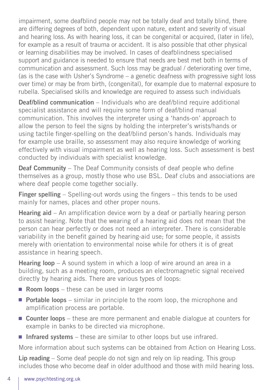impairment, some deafblind people may not be totally deaf and totally blind, there are differing degrees of both, dependent upon nature, extent and severity of visual and hearing loss. As with hearing loss, it can be congenital or acquired, (later in life), for example as a result of trauma or accident. It is also possible that other physical or learning disabilities may be involved. In cases of deafblindness specialised support and guidance is needed to ensure that needs are best met both in terms of communication and assessment. Such loss may be gradual / deteriorating over time, (as is the case with Usher's Syndrome – a genetic deafness with progressive sight loss over time) or may be from birth, (congenital), for example due to maternal exposure to rubella. Specialised skills and knowledge are required to assess such individuals

**Deaf/blind communication** – Individuals who are deaf/blind require additional specialist assistance and will require some form of deaf/blind manual communication. This involves the interpreter using a 'hands-on' approach to allow the person to feel the signs by holding the interpreter's wrists/hands or using tactile finger-spelling on the deaf/blind person's hands. Individuals may for example use braille, so assessment may also require knowledge of working effectively with visual impairment as well as hearing loss. Such assessment is best conducted by individuals with specialist knowledge.

Deaf Community – The Deaf Community consists of deaf people who define themselves as a group, mostly those who use BSL. Deaf clubs and associations are where deaf people come together socially.

Finger spelling – Spelling-out words using the fingers – this tends to be used mainly for names, places and other proper nouns.

**Hearing aid** – An amplification device worn by a deaf or partially hearing person to assist hearing. Note that the wearing of a hearing aid does not mean that the person can hear perfectly or does not need an interpreter. There is considerable variability in the benefit gained by hearing-aid use; for some people, it assists merely with orientation to environmental noise while for others it is of great assistance in hearing speech.

Hearing loop – A sound system in which a loop of wire around an area in a building, such as a meeting room, produces an electromagnetic signal received directly by hearing aids. There are various types of loops:

- **Room loops** these can be used in larger rooms
- Portable loops similar in principle to the room loop, the microphone and amplification process are portable.
- **Counter loops** these are more permanent and enable dialogue at counters for example in banks to be directed via microphone.
- Infrared systems these are similar to other loops but use infrared.

More information about such systems can be obtained from Action on Hearing Loss.

Lip reading – Some deaf people do not sign and rely on lip reading. This group includes those who become deaf in older adulthood and those with mild hearing loss.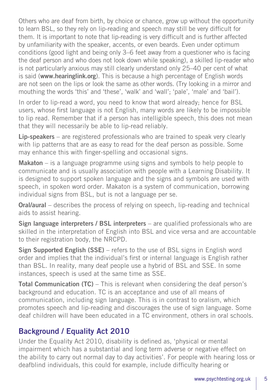Others who are deaf from birth, by choice or chance, grow up without the opportunity to learn BSL, so they rely on lip-reading and speech may still be very difficult for them. It is important to note that lip-reading is very difficult and is further affected by unfamiliarity with the speaker, accents, or even beards. Even under optimum conditions (good light and being only 3–6 feet away from a questioner who is facing the deaf person and who does not look down while speaking), a skilled lip-reader who is not particularly anxious may still clearly understand only 25–40 per cent of what is said (www.hearinglink.org). This is because a high percentage of English words are not seen on the lips or look the same as other words. (Try looking in a mirror and mouthing the words 'this' and 'these', 'walk' and 'wall'; 'pale', 'male' and 'bail').

In order to lip-read a word, you need to know that word already; hence for BSL users, whose first language is not English, many words are likely to be impossible to lip read. Remember that if a person has intelligible speech, this does not mean that they will necessarily be able to lip-read reliably.

Lip-speakers – are registered professionals who are trained to speak very clearly with lip patterns that are as easy to read for the deaf person as possible. Some may enhance this with finger-spelling and occasional signs.

Makaton – is a language programme using signs and symbols to help people to communicate and is usually association with people with a Learning Disability. It is designed to support spoken language and the signs and symbols are used with speech, in spoken word order. Makaton is a system of communication, borrowing individual signs from BSL, but is not a language per se.

Oral/aural – describes the process of relying on speech, lip-reading and technical aids to assist hearing.

Sign language interpreters / BSL interpreters – are qualified professionals who are skilled in the interpretation of English into BSL and vice versa and are accountable to their registration body, the NRCPD.

Sign Supported English (SSE) – refers to the use of BSL signs in English word order and implies that the individual's first or internal language is English rather than BSL. In reality, many deaf people use a hybrid of BSL and SSE. In some instances, speech is used at the same time as SSE.

Total Communication (TC) – This is relevant when considering the deaf person's background and education. TC is an acceptance and use of all means of communication, including sign language. This is in contrast to oralism, which promotes speech and lip-reading and discourages the use of sign language. Some deaf children will have been educated in a TC environment, others in oral schools.

## Background / Equality Act 2010

Under the Equality Act 2010, disability is defined as, 'physical or mental impairment which has a substantial and long term adverse or negative effect on the ability to carry out normal day to day activities'. For people with hearing loss or deafblind individuals, this could for example, include difficulty hearing or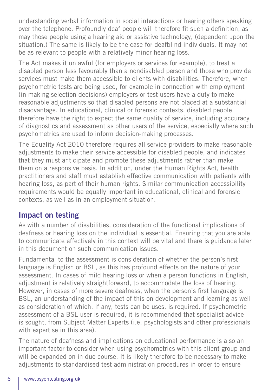understanding verbal information in social interactions or hearing others speaking over the telephone. Profoundly deaf people will therefore fit such a definition, as may those people using a hearing aid or assistive technology, (dependent upon the situation.) The same is likely to be the case for deafblind individuals. It may not be as relevant to people with a relatively minor hearing loss.

The Act makes it unlawful (for employers or services for example), to treat a disabled person less favourably than a nondisabled person and those who provide services must make them accessible to clients with disabilities. Therefore, when psychometric tests are being used, for example in connection with employment (in making selection decisions) employers or test users have a duty to make reasonable adjustments so that disabled persons are not placed at a substantial disadvantage. In educational, clinical or forensic contexts, disabled people therefore have the right to expect the same quality of service, including accuracy of diagnostics and assessment as other users of the service, especially where such psychometrics are used to inform decision-making processes.

The Equality Act 2010 therefore requires all service providers to make reasonable adjustments to make their service accessible for disabled people, and indicates that they must anticipate and promote these adjustments rather than make them on a responsive basis. In addition, under the Human Rights Act, health practitioners and staff must establish effective communication with patients with hearing loss, as part of their human rights. Similar communication accessibility requirements would be equally important in educational, clinical and forensic contexts, as well as in an employment situation.

## Impact on testing

As with a number of disabilities, consideration of the functional implications of deafness or hearing loss on the individual is essential. Ensuring that you are able to communicate effectively in this context will be vital and there is guidance later in this document on such communication issues.

Fundamental to the assessment is consideration of whether the person's first language is English or BSL, as this has profound effects on the nature of your assessment. In cases of mild hearing loss or when a person functions in English, adjustment is relatively straightforward, to accommodate the loss of hearing. However, in cases of more severe deafness, when the person's first language is BSL, an understanding of the impact of this on development and learning as well as consideration of which, if any, tests can be uses, is required. If psychometric assessment of a BSL user is required, it is recommended that specialist advice is sought, from Subject Matter Experts (i.e. psychologists and other professionals with expertise in this area).

The nature of deafness and implications on educational performance is also an important factor to consider when using psychometrics with this client group and will be expanded on in due course. It is likely therefore to be necessary to make adjustments to standardised test administration procedures in order to ensure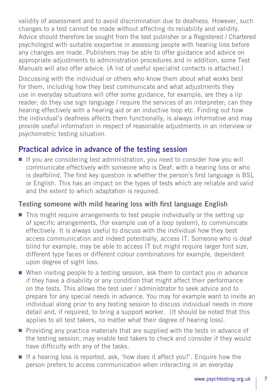validity of assessment and to avoid discrimination due to deafness. However, such changes to a test cannot be made without affecting its reliability and validity. Advice should therefore be sought from the test publisher or a Registered / Chartered psychologist with suitable exxpertise in assessing people with hearing loss before any changes are made. Publishers may be able to offer guidance and advice on appropriate adjustments to administration procedures and in addition, some Test Manuals will also offer advice. (A list of useful specialist contacts is attached.)

Discussing with the individual or others who know them about what works best for them, including how they best communicate and what adjustments they use in everyday situations will offer some guidance, for example, are they a lip reader; do they use sign language / require the services of an interpreter; can they hearing effectively with a hearing aid or an inductive loop etc. Finding out how the individual's deafness affects them functionally, is always informative and may provide useful information in respect of reasonable adjustments in an interview or psychometric testing situation.

## Practical advice in advance of the testing session

■ If you are considering test administration, you need to consider how you will communicate effectively with someone who is Deaf, with a hearing loss or who is deafblind. The first key question is whether the person's first language is BSL or English. This has an impact on the types of tests which are reliable and valid and the extent to which adaptation is required.

## Testing someone with mild hearing loss with first language English

- This might require arrangements to test people individually or the setting up of specific arrangements, (for example use of a loop system), to communicate effectively. It is always useful to discuss with the individual how they best access communication and indeed potentially, access IT. Someone who is deaf blind for example, may be able to access IT but might require larger font size, different type faces or different colour combinations for example, dependent upon degree of sight loss.
- When inviting people to a testing session, ask them to contact you in advance if they have a disability or any condition that might affect their performance on the tests. This allows the test user / administrator to seek advice and to prepare for any special needs in advance. You may for example want to invite an individual along prior to any testing session to discuss individual needs in more detail and, if required, to bring a support worker. (It should be noted that this applies to all test takers, no matter what their degree of hearing loss).
- Providing any practice materials that are supplied with the tests in advance of the testing session, may enable test takers to check and consider if they would have difficulty with any of the tasks.
- If a hearing loss is reported, ask, 'how does it affect you?'. Fnquire how the person prefers to access communication when interacting in an everyday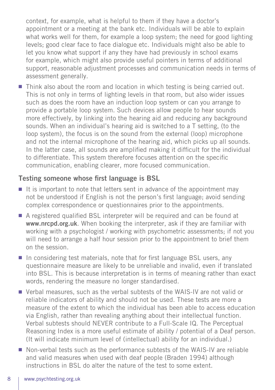context, for example, what is helpful to them if they have a doctor's appointment or a meeting at the bank etc. Individuals will be able to explain what works well for them, for example a loop system; the need for good lighting levels; good clear face to face dialogue etc. Individuals might also be able to let you know what support if any they have had previously in school exams for example, which might also provide useful pointers in terms of additional support, reasonable adjustment processes and communication needs in terms of assessment generally.

■ Think also about the room and location in which testing is being carried out. This is not only in terms of lighting levels in that room, but also wider issues such as does the room have an induction loop system or can you arrange to provide a portable loop system. Such devices allow people to hear sounds more effectively, by linking into the hearing aid and reducing any background sounds. When an individual's hearing aid is switched to a T setting, (to the loop system), the focus is on the sound from the external (loop) microphone and not the internal microphone of the hearing aid, which picks up all sounds. In the latter case, all sounds are amplified making it difficult for the individual to differentiate. This system therefore focuses attention on the specific communication, enabling clearer, more focused communication.

#### Testing someone whose first language is BSL

- It is important to note that letters sent in advance of the appointment may not be understood if English is not the person's first language; avoid sending complex correspondence or questionnaires prior to the appointments.
- A registered qualified BSL interpreter will be required and can be found at www.nrcpd.org.uk. When booking the interpreter, ask if they are familiar with working with a psychologist / working with psychometric assessments; if not you will need to arrange a half hour session prior to the appointment to brief them on the session.
- In considering test materials, note that for first language BSL users, any questionnaire measure are likely to be unreliable and invalid, even if translated into BSL. This is because interpretation is in terms of meaning rather than exact words, rendering the measure no longer standardised.
- Verbal measures, such as the verbal subtests of the WAIS-IV are not valid or reliable indicators of ability and should not be used. These tests are more a measure of the extent to which the individual has been able to access education via English, rather than revealing anything about their intellectual function. Verbal subtests should NEVER contribute to a Full-Scale IQ. The Perceptual Reasoning Index is a more useful estimate of ability / potential of a Deaf person. (It will indicate minimum level of (intellectual) ability for an individual.)
- Non-verbal tests such as the performance subtests of the WAIS-IV are reliable and valid measures when used with deaf people (Braden 1994) although instructions in BSL do alter the nature of the test to some extent.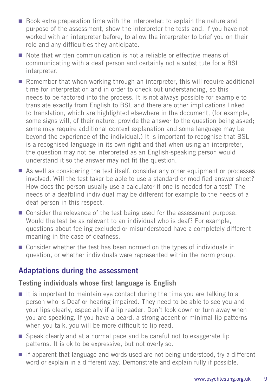- Book extra preparation time with the interpreter; to explain the nature and purpose of the assessment, show the interpreter the tests and, if you have not worked with an interpreter before, to allow the interpreter to brief you on their role and any difficulties they anticipate.
- Note that written communication is not a reliable or effective means of communicating with a deaf person and certainly not a substitute for a BSL interpreter.
- Remember that when working through an interpreter, this will require additional time for interpretation and in order to check out understanding, so this needs to be factored into the process. It is not always possible for example to translate exactly from English to BSL and there are other implications linked to translation, which are highlighted elsewhere in the document, (for example, some signs will, of their nature, provide the answer to the question being asked; some may require additional context explanation and some language may be beyond the experience of the individual.) It is important to recognise that BSL is a recognised language in its own right and that when using an interpreter, the question may not be interpreted as an English-speaking person would understand it so the answer may not fit the question.
- As well as considering the test itself, consider any other equipment or processes involved. Will the test taker be able to use a standard or modified answer sheet? How does the person usually use a calculator if one is needed for a test? The needs of a deafblind individual may be different for example to the needs of a deaf person in this respect.
- Consider the relevance of the test being used for the assessment purpose. Would the test be as relevant to an individual who is deaf? For example, questions about feeling excluded or misunderstood have a completely different meaning in the case of deafness.
- Consider whether the test has been normed on the types of individuals in question, or whether individuals were represented within the norm group.

## Adaptations during the assessment

#### Testing individuals whose first language is English

- It is important to maintain eve contact during the time you are talking to a person who is Deaf or hearing impaired. They need to be able to see you and your lips clearly, especially if a lip reader. Don't look down or turn away when you are speaking. If you have a beard, a strong accent or minimal lip patterns when you talk, you will be more difficult to lip read.
- Speak clearly and at a normal pace and be careful not to exaggerate lip patterns. It is ok to be expressive, but not overly so.
- If apparent that language and words used are not being understood, try a different word or explain in a different way. Demonstrate and explain fully if possible.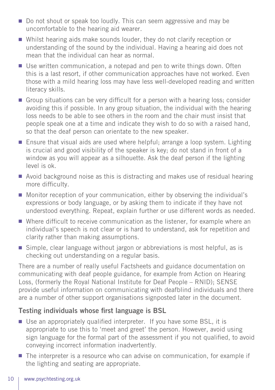- Do not shout or speak too loudly. This can seem aggressive and may be uncomfortable to the hearing aid wearer.
- Whilst hearing aids make sounds louder, they do not clarify reception or understanding of the sound by the individual. Having a hearing aid does not mean that the individual can hear as normal.
- Use written communication, a notepad and pen to write things down. Often this is a last resort, if other communication approaches have not worked. Even those with a mild hearing loss may have less well-developed reading and written literacy skills.
- Group situations can be very difficult for a person with a hearing loss; consider avoiding this if possible. In any group situation, the individual with the hearing loss needs to be able to see others in the room and the chair must insist that people speak one at a time and indicate they wish to do so with a raised hand, so that the deaf person can orientate to the new speaker.
- Ensure that visual aids are used where helpful; arrange a loop system. Lighting is crucial and good visibility of the speaker is key; do not stand in front of a window as you will appear as a silhouette. Ask the deaf person if the lighting level is ok.
- Avoid background noise as this is distracting and makes use of residual hearing more difficulty.
- Monitor reception of your communication, either by observing the individual's expressions or body language, or by asking them to indicate if they have not understood everything. Repeat, explain further or use different words as needed.
- Where difficult to receive communication as the listener, for example where an individual's speech is not clear or is hard to understand, ask for repetition and clarity rather than making assumptions.
- Simple, clear language without jargon or abbreviations is most helpful, as is checking out understanding on a regular basis.

There are a number of really useful Factsheets and guidance documentation on communicating with deaf people guidance, for example from Action on Hearing Loss, (formerly the Royal National Institute for Deaf People – RNID); SENSE provide useful information on communicating with deafblind individuals and there are a number of other support organisations signposted later in the document.

## Testing individuals whose first language is BSL

- Use an appropriately qualified interpreter. If you have some BSL, it is appropriate to use this to 'meet and greet' the person. However, avoid using sign language for the formal part of the assessment if you not qualified, to avoid conveying incorrect information inadvertently.
- The interpreter is a resource who can advise on communication, for example if the lighting and seating are appropriate.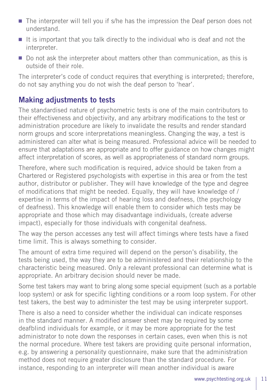- The interpreter will tell you if s/he has the impression the Deaf person does not understand.
- It is important that you talk directly to the individual who is deaf and not the interpreter.
- Do not ask the interpreter about matters other than communication, as this is outside of their role.

The interpreter's code of conduct requires that everything is interpreted; therefore, do not say anything you do not wish the deaf person to 'hear'.

## Making adjustments to tests

The standardised nature of psychometric tests is one of the main contributors to their effectiveness and objectivity, and any arbitrary modifications to the test or administration procedure are likely to invalidate the results and render standard norm groups and score interpretations meaningless. Changing the way, a test is administered can alter what is being measured. Professional advice will be needed to ensure that adaptations are appropriate and to offer guidance on how changes might affect interpretation of scores, as well as appropriateness of standard norm groups.

Therefore, where such modification is required, advice should be taken from a Chartered or Registered psychologists with expertise in this area or from the test author, distributor or publisher. They will have knowledge of the type and degree of modifications that might be needed. Equally, they will have knowledge of / expertise in terms of the impact of hearing loss and deafness, (the psychology of deafness). This knowledge will enable them to consider which tests may be appropriate and those which may disadvantage individuals, (create adverse impact), especially for those individuals with congenital deafness.

The way the person accesses any test will affect timings where tests have a fixed time limit. This is always something to consider.

The amount of extra time required will depend on the person's disability, the tests being used, the way they are to be administered and their relationship to the characteristic being measured. Only a relevant professional can determine what is appropriate. An arbitrary decision should never be made.

Some test takers may want to bring along some special equipment (such as a portable loop system) or ask for specific lighting conditions or a room loop system. For other test takers, the best way to administer the test may be using interpreter support.

There is also a need to consider whether the individual can indicate responses in the standard manner. A modified answer sheet may be required by some deafblind individuals for example, or it may be more appropriate for the test administrator to note down the responses in certain cases, even when this is not the normal procedure. Where test takers are providing quite personal information, e.g. by answering a personality questionnaire, make sure that the administration method does not require greater disclosure than the standard procedure. For instance, responding to an interpreter will mean another individual is aware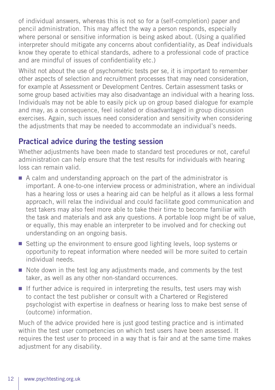of individual answers, whereas this is not so for a (self-completion) paper and pencil administration. This may affect the way a person responds, especially where personal or sensitive information is being asked about. (Using a qualified interpreter should mitigate any concerns about confidentiality, as Deaf individuals know they operate to ethical standards, adhere to a professional code of practice and are mindful of issues of confidentiality etc.)

Whilst not about the use of psychometric tests per se, it is important to remember other aspects of selection and recruitment processes that may need consideration, for example at Assessment or Development Centres. Certain assessment tasks or some group based activities may also disadvantage an individual with a hearing loss. Individuals may not be able to easily pick up on group based dialogue for example and may, as a consequence, feel isolated or disadvantaged in group discussion exercises. Again, such issues need consideration and sensitivity when considering the adjustments that may be needed to accommodate an individual's needs.

## Practical advice during the testing session

Whether adjustments have been made to standard test procedures or not, careful administration can help ensure that the test results for individuals with hearing loss can remain valid.

- A calm and understanding approach on the part of the administrator is important. A one-to-one interview process or administration, where an individual has a hearing loss or uses a hearing aid can be helpful as it allows a less formal approach, will relax the individual and could facilitate good communication and test takers may also feel more able to take their time to become familiar with the task and materials and ask any questions. A portable loop might be of value, or equally, this may enable an interpreter to be involved and for checking out understanding on an ongoing basis.
- Setting up the environment to ensure good lighting levels, loop systems or opportunity to repeat information where needed will be more suited to certain individual needs.
- Note down in the test log any adjustments made, and comments by the test taker, as well as any other non-standard occurrences.
- If further advice is required in interpreting the results, test users may wish to contact the test publisher or consult with a Chartered or Registered psychologist with expertise in deafness or hearing loss to make best sense of (outcome) information.

Much of the advice provided here is just good testing practice and is intimated within the test user competencies on which test users have been assessed. It requires the test user to proceed in a way that is fair and at the same time makes adjustment for any disability.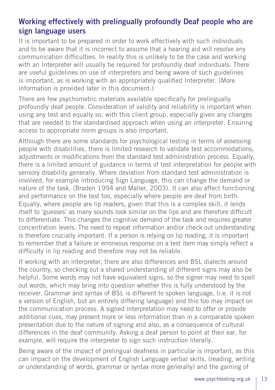## Working effectively with prelingually profoundly Deaf people who are sign language users

It is important to be prepared in order to work effectively with such individuals and to be aware that it is incorrect to assume that a hearing aid will resolve any communication difficulties. In reality this is unlikely to be the case and working with an Interpreter will usually be required for profoundly deaf individuals. There are useful guidelines on use of interpreters and being aware of such guidelines is important, as is working with an appropriately qualified Interpreter. (More information is provided later in this document.)

There are few psychometric materials available specifically for prelingually profoundly deaf people. Consideration of validity and reliability is important when using any test and equally so, with this client group, especially given any changes that are needed to the standardised approach when using an interpreter. Ensuring access to appropriate norm groups is also important.

Although there are some standards for psychological testing in terms of assessing people with disabilities, there is limited research to validate test accommodations, adjustments or modifications from the standard test administration process. Equally, there is a limited amount of guidance in terms of test interpretation for people with sensory disability generally. Where deviation from standard test administration is involved, for example introducing Sign Language, this can change the demand or nature of the task, (Braden 1994 and Maller, 2003). It can also affect functioning and performance on the test too, especially where people are deaf from birth. Equally, where people are lip readers, given that this is a complex skill, it lends itself to 'guesses' as many sounds look similar on the lips and are therefore difficult to differentiate. This changes the cognitive demand of the task and requires greater concentration levels. The need to repeat information and/or check out understanding is therefore crucially important. If a person is relying on lip reading, it is important to remember that a failure or erroneous response on a test item may simply reflect a difficulty in lip reading and therefore may not be reliable.

If working with an interpreter, there are also differences and BSL dialects around the country, so checking out a shared understanding of different signs may also be helpful. Some words may not have equivalent signs, so the signer may need to spell out words, which may bring into question whether this is fully understood by the receiver. Grammar and syntax of BSL is different to spoken language, (i.e. it is not a version of English, but an entirely differing language) and this too may impact on the communication process. A signed interpretation may need to offer or provide additional cues, may present more or less information than in a comparable spoken presentation due to the nature of signing and also, as a consequence of cultural differences in the deaf community. Asking a deaf person to point at their ear, for example, will require the interpreter to sign such instruction literally.

Being aware of the impact of prelingual deafness in particular is important, as this can impact on the development of English Language verbal skills, (reading, writing or understanding of words, grammar or syntax more generally) and the gaining of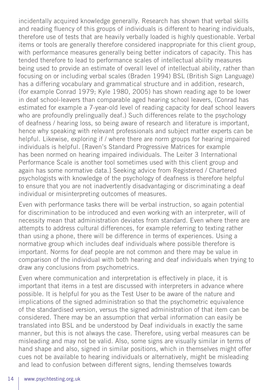incidentally acquired knowledge generally. Research has shown that verbal skills and reading fluency of this groups of individuals is different to hearing individuals, therefore use of tests that are heavily verbally loaded is highly questionable. Verbal items or tools are generally therefore considered inappropriate for this client group, with performance measures generally being better indicators of capacity. This has tended therefore to lead to performance scales of intellectual ability measures being used to provide an estimate of overall level of intellectual ability, rather than focusing on or including verbal scales (Braden 1994) BSL (British Sign Language) has a differing vocabulary and grammatical structure and in addition, research, (for example Conrad 1979; Kyle 1980, 2005) has shown reading age to be lower in deaf school-leavers than comparable aged hearing school leavers, (Conrad has estimated for example a 7-year-old level of reading capacity for deaf school leavers who are profoundly prelingually deaf.) Such differences relate to the psychology of deafness / hearing loss, so being aware of research and literature is important, hence why speaking with relevant professionals and subject matter experts can be helpful. Likewise, exploring if / where there are norm groups for hearing impaired individuals is helpful. [Raven's Standard Progressive Matrices for example has been normed on hearing impaired individuals. The Leiter 3 International Performance Scale is another tool sometimes used with this client group and again has some normative data.] Seeking advice from Registered / Chartered psychologists with knowledge of the psychology of deafness is therefore helpful to ensure that you are not inadvertently disadvantaging or discriminating a deaf individual or misinterpreting outcomes of measures.

Even with performance tasks there will be verbal instruction, so again potential for discrimination to be introduced and even working with an interpreter, will of necessity mean that administration deviates from standard. Even where there are attempts to address cultural differences, for example referring to texting rather than using a phone, there will be difference in terms of experiences. Using a normative group which includes deaf individuals where possible therefore is important. Norms for deaf people are not common and there may be value in comparison of the individual with both hearing and deaf individuals when trying to draw any conclusions from psychometrics.

Even where communication and interpretation is effectively in place, it is important that items in a test are discussed with interpreters in advance where possible. It is helpful for you as the Test User to be aware of the nature and implications of the signed administration so that the psychometric equivalence of the standardised version, versus the signed administration of that item can be considered. There may be an assumption that verbal information can easily be translated into BSL and be understood by Deaf individuals in exactly the same manner, but this is not always the case. Therefore, using verbal measures can be misleading and may not be valid. Also, some signs are visually similar in terms of hand shape and also, signed in similar positions, which in themselves might offer cues not be available to hearing individuals or alternatively, might be misleading and lead to confusion between different signs, lending themselves towards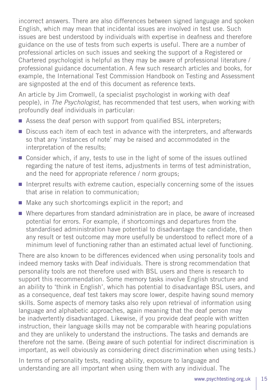incorrect answers. There are also differences between signed language and spoken English, which may mean that incidental issues are involved in test use. Such issues are best understood by individuals with expertise in deafness and therefore guidance on the use of tests from such experts is useful. There are a number of professional articles on such issues and seeking the support of a Registered or Chartered psychologist is helpful as they may be aware of professional literature / professional guidance documentation. A few such research articles and books, for example, the International Test Commission Handbook on Testing and Assessment are signposted at the end of this document as reference texts.

An article by Jim Cromwell, (a specialist psychologist in working with deaf people), in *The Psychologist*, has recommended that test users, when working with profoundly deaf individuals in particular:

- Assess the deaf person with support from qualified BSL interpreters;
- Discuss each item of each test in advance with the interpreters, and afterwards so that any 'instances of note' may be raised and accommodated in the interpretation of the results;
- Consider which, if any, tests to use in the light of some of the issues outlined regarding the nature of test items, adjustments in terms of test administration, and the need for appropriate reference / norm groups;
- Interpret results with extreme caution, especially concerning some of the issues that arise in relation to communication;
- Make any such shortcomings explicit in the report; and
- Where departures from standard administration are in place, be aware of increased potential for errors. For example, if shortcomings and departures from the standardised administration have potential to disadvantage the candidate, then any result or test outcome may more usefully be understood to reflect more of a minimum level of functioning rather than an estimated actual level of functioning.

There are also known to be differences evidenced when using personality tools and indeed memory tasks with Deaf individuals. There is strong recommendation that personality tools are not therefore used with BSL users and there is research to support this recommendation. Some memory tasks involve English structure and an ability to 'think in English', which has potential to disadvantage BSL users, and as a consequence, deaf test takers may score lower, despite having sound memory skills. Some aspects of memory tasks also rely upon retrieval of information using language and alphabetic approaches, again meaning that the deaf person may be inadvertently disadvantaged. Likewise, if you provide deaf people with written instruction, their language skills may not be comparable with hearing populations and they are unlikely to understand the instructions. The tasks and demands are therefore not the same. (Being aware of such potential for indirect discrimination is important, as well obviously as considering direct discrimination when using tests.)

In terms of personality tests, reading ability, exposure to language and understanding are all important when using them with any individual. The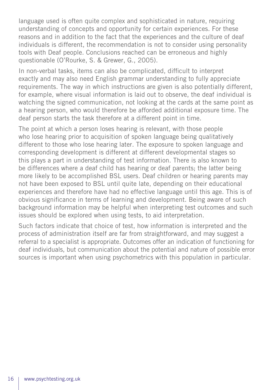language used is often quite complex and sophisticated in nature, requiring understanding of concepts and opportunity for certain experiences. For these reasons and in addition to the fact that the experiences and the culture of deaf individuals is different, the recommendation is not to consider using personality tools with Deaf people. Conclusions reached can be erroneous and highly questionable (O'Rourke, S. & Grewer, G., 2005).

In non-verbal tasks, items can also be complicated, difficult to interpret exactly and may also need English grammar understanding to fully appreciate requirements. The way in which instructions are given is also potentially different, for example, where visual information is laid out to observe, the deaf individual is watching the signed communication, not looking at the cards at the same point as a hearing person, who would therefore be afforded additional exposure time. The deaf person starts the task therefore at a different point in time.

The point at which a person loses hearing is relevant, with those people who lose hearing prior to acquisition of spoken language being qualitatively different to those who lose hearing later. The exposure to spoken language and corresponding development is different at different developmental stages so this plays a part in understanding of test information. There is also known to be differences where a deaf child has hearing or deaf parents; the latter being more likely to be accomplished BSL users. Deaf children or hearing parents may not have been exposed to BSL until quite late, depending on their educational experiences and therefore have had no effective language until this age. This is of obvious significance in terms of learning and development. Being aware of such background information may be helpful when interpreting test outcomes and such issues should be explored when using tests, to aid interpretation.

Such factors indicate that choice of test, how information is interpreted and the process of administration itself are far from straightforward, and may suggest a referral to a specialist is appropriate. Outcomes offer an indication of functioning for deaf individuals, but communication about the potential and nature of possible error sources is important when using psychometrics with this population in particular.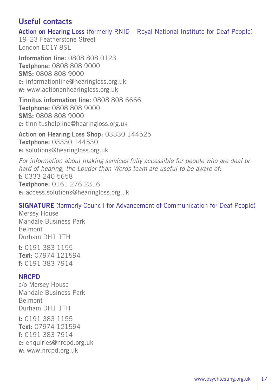## Useful contacts

Action on Hearing Loss (formerly RNID – Royal National Institute for Deaf People)

19–23 Featherstone Street London EC1Y 8SL

Information line: 0808 808 0123 Textphone: 0808 808 9000 SMS: 0808 808 9000 e: informationline@hearingloss.org.uk w: www.actiononhearingloss.org.uk

Tinnitus information line: 0808 808 6666 **Textphone: 0808 808 9000** SMS: 0808 808 9000 e: tinnitushelpline@hearingloss.org.uk

Action on Hearing Loss Shop: 03330 144525 Textphone: 03330 144530 e: solutions@hearingloss.org.uk

*For information about making services fully accessible for people who are deaf or hard of hearing, the Louder than Words team are useful to be aware of:* t: 0333 240 5658 Textphone: 0161 276 2316 e: access.solutions@hearingloss.org.uk

#### SIGNATURE (formerly Council for Advancement of Communication for Deaf People)

Mersey House Mandale Business Park Belmont Durham DH1 1TH

t: 0191 383 1155 Text: 07974 121594 f: 0191 383 7914

#### **NRCPD**

c/o Mersey House Mandale Business Park Belmont Durham DH1 1TH

t: 0191 383 1155 Text: 07974 121594 f: 0191 383 7914 e: enquiries@nrcpd.org.uk w: www.nrcpd.org.uk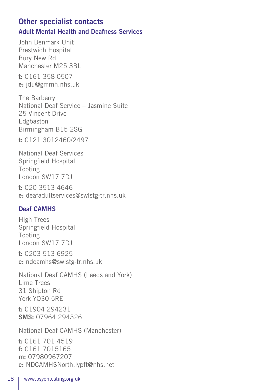## Other specialist contacts Adult Mental Health and Deafness Services

John Denmark Unit Prestwich Hospital Bury New Rd Manchester M25 3BL

t: 0161 358 0507 e: jdu@gmmh.nhs.uk

The Barberry National Deaf Service – Jasmine Suite 25 Vincent Drive Edgbaston Birmingham B15 2SG

t: 0121 3012460/2497

National Deaf Services Springfield Hospital Tooting London SW17 7DJ

t: 020 3513 4646 e: deafadultservices@swlstg-tr.nhs.uk

## Deaf CAMHS

High Trees Springfield Hospital Tooting London SW17 7DJ

t: 0203 513 6925 e: ndcamhs@swlstg-tr.nhs.uk

National Deaf CAMHS (Leeds and York) Lime Trees 31 Shipton Rd York YO30 5RE

t: 01904 294231 SMS: 07964 294326

National Deaf CAMHS (Manchester)

t: 0161 701 4519 f: 0161 7015165 m: 07980967207 e: NDCAMHSNorth.lypft@nhs.net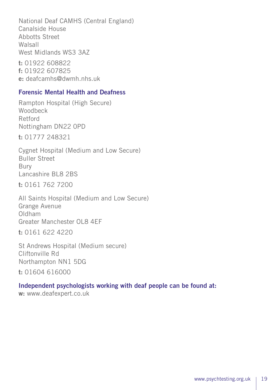National Deaf CAMHS (Central England) Canalside House Abbotts Street Walsall West Midlands WS3 3AZ

t: 01922 608822 f: 01922 607825 e: deafcamhs@dwmh.nhs.uk

#### Forensic Mental Health and Deafness

Rampton Hospital (High Secure) Woodbeck Retford Nottingham DN22 0PD

t: 01777 248321

Cygnet Hospital (Medium and Low Secure) Buller Street Bury Lancashire BL8 2BS

t: 0161 762 7200

All Saints Hospital (Medium and Low Secure) Grange Avenue Oldham Greater Manchester OL8 4EF

t: 0161 622 4220

St Andrews Hospital (Medium secure) Cliftonville Rd Northampton NN1 5DG

t: 01604 616000

#### Independent psychologists working with deaf people can be found at:

w: www.deafexpert.co.uk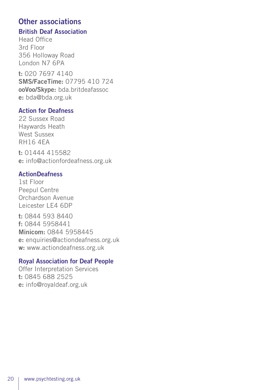## Other associations

#### British Deaf Association

Head Office 3rd Floor 356 Holloway Road London N7 6PA

t: 020 7697 4140 SMS/FaceTime: 07795 410 724 ooVoo/Skype: bda.britdeafassoc e: bda@bda.org.uk

#### Action for Deafness

22 Sussex Road Haywards Heath West Sussex RH16 4EA

t: 01444 415582 e: info@actionfordeafness.org.uk

#### **ActionDeafness**

1st Floor Peepul Centre Orchardson Avenue Leicester LE4 6DP

t: 0844 593 8440 f: 0844 5958441 Minicom: 0844 5958445 e: enquiries@actiondeafness.org.uk w: www.actiondeafness.org.uk

#### Royal Association for Deaf People

Offer Interpretation Services t: 0845 688 2525 e: info@royaldeaf.org.uk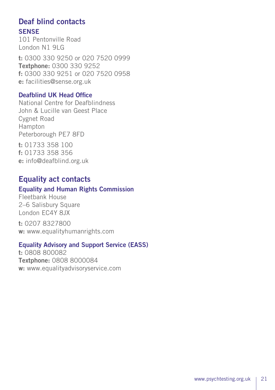## Deaf blind contacts

#### **SENSE**

101 Pentonville Road London N1 9LG

t: 0300 330 9250 or 020 7520 0999 Textphone: 0300 330 9252 f: 0300 330 9251 or 020 7520 0958 e: facilities@sense.org.uk

#### Deafblind UK Head Office

National Centre for Deafblindness John & Lucille van Geest Place Cygnet Road Hampton Peterborough PE7 8FD

t: 01733 358 100 f: 01733 358 356 e: info@deafblind.org.uk

## Equality act contacts

#### Equality and Human Rights Commission

Fleetbank House 2–6 Salisbury Square London EC4Y 8JX

t: 0207 8327800 w: www.equalityhumanrights.com

#### Equality Advisory and Support Service (EASS)

t: 0808 800082 Textphone: 0808 8000084 w: www.equalityadvisoryservice.com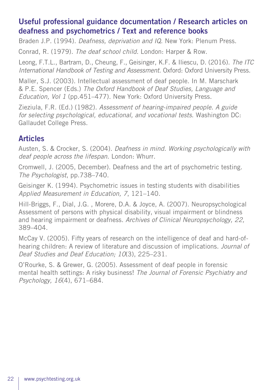## Useful professional guidance documentation / Research articles on deafness and psychometrics / Text and reference books

Braden J.P. (1994). *Deafness, deprivation and IQ*. New York: Plenum Press.

Conrad, R. (1979). *The deaf school child*. London: Harper & Row.

Leong, F.T.L., Bartram, D., Cheung, F., Geisinger, K.F. & Iliescu, D. (2016). *The ITC International Handbook of Testing and Assessment*. Oxford: Oxford University Press.

Maller, S.J. (2003). Intellectual assessment of deaf people. In M. Marschark & P.E. Spencer (Eds.) *The Oxford Handbook of Deaf Studies, Language and Education, Vol 1* (pp.451–477). New York: Oxford University Press.

Zieziula, F.R. (Ed.) (1982). *Assessment of hearing-impaired people. A guide for selecting psychological, educational, and vocational tests*. Washington DC: Gallaudet College Press.

## Articles

Austen, S. & Crocker, S. (2004). *Deafness in mind. Working psychologically with deaf people across the lifespan*. London: Whurr.

Cromwell, J. (2005, December). Deafness and the art of psychometric testing. *The Psychologist*, pp.738–740.

Geisinger K. (1994). Psychometric issues in testing students with disabilities *Applied Measurement in Education, 7*, 121–140.

Hill-Briggs, F., Dial, J.G. , Morere, D.A. & Joyce, A. (2007). Neuropsychological Assessment of persons with physical disability, visual impairment or blindness and hearing impairment or deafness. *Archives of Clinical Neuropsychology, 22,* 389–404.

McCay V. (2005). Fifty years of research on the intelligence of deaf and hard-ofhearing children: A review of literature and discussion of implications. *Journal of Deaf Studies and Deaf Education; 10*(3), 225–231.

O'Rourke, S. & Grewer, G. (2005). Assessment of deaf people in forensic mental health settings: A risky business! *The Journal of Forensic Psychiatry and Psychology, 16*(4), 671–684.